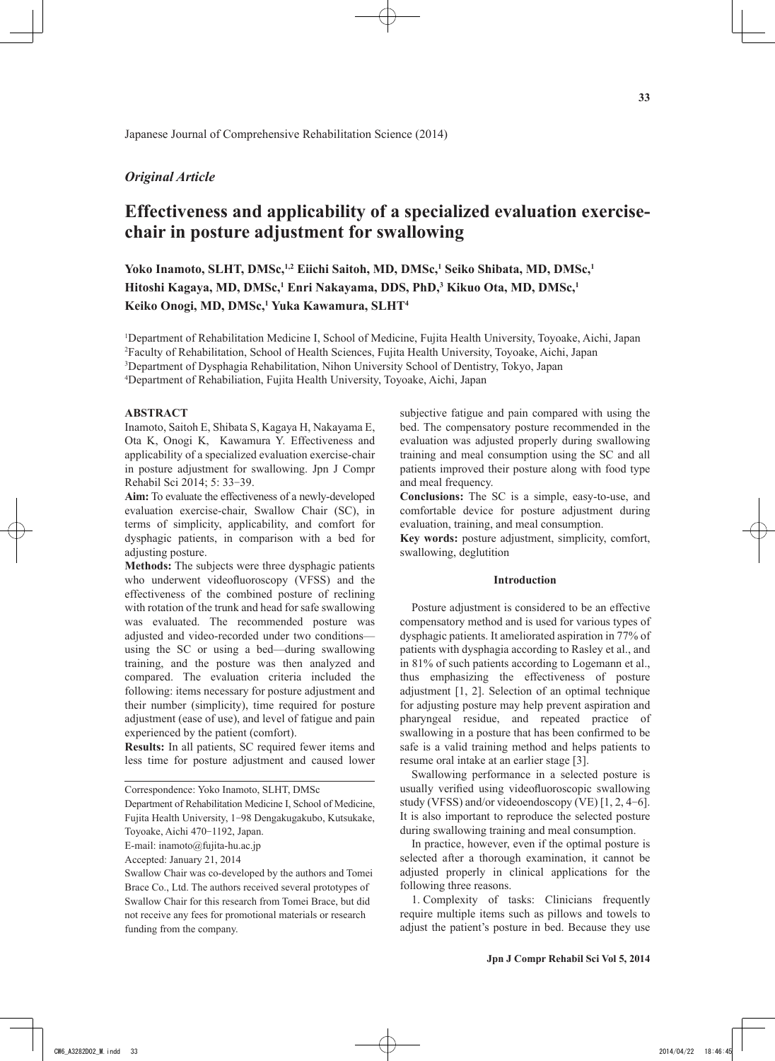## *Original Article*

# **Effectiveness and applicability of a specialized evaluation exercisechair in posture adjustment for swallowing**

Yoko Inamoto, SLHT, DMSc,<sup>1,2</sup> Eiichi Saitoh, MD, DMSc,<sup>1</sup> Seiko Shibata, MD, DMSc,<sup>1</sup> Hitoshi Kagaya, MD, DMSc,<sup>1</sup> Enri Nakayama, DDS, PhD,<sup>3</sup> Kikuo Ota, MD, DMSc,<sup>1</sup> **Keiko Onogi, MD, DMSc,1 Yuka Kawamura, SLHT4**

1 Department of Rehabilitation Medicine I, School of Medicine, Fujita Health University, Toyoake, Aichi, Japan 2 Faculty of Rehabilitation, School of Health Sciences, Fujita Health University, Toyoake, Aichi, Japan 3 Department of Dysphagia Rehabilitation, Nihon University School of Dentistry, Tokyo, Japan

4 Department of Rehabiliation, Fujita Health University, Toyoake, Aichi, Japan

#### **ABSTRACT**

Inamoto, Saitoh E, Shibata S, Kagaya H, Nakayama E, Ota K, Onogi K, Kawamura Y. Effectiveness and applicability of a specialized evaluation exercise-chair in posture adjustment for swallowing. Jpn J Compr Rehabil Sci 2014; 5: 33-39.

**Aim:** To evaluate the effectiveness of a newly-developed evaluation exercise-chair, Swallow Chair (SC), in terms of simplicity, applicability, and comfort for dysphagic patients, in comparison with a bed for adjusting posture.

**Methods:** The subjects were three dysphagic patients who underwent videofluoroscopy (VFSS) and the effectiveness of the combined posture of reclining with rotation of the trunk and head for safe swallowing was evaluated. The recommended posture was adjusted and video-recorded under two conditions using the SC or using a bed—during swallowing training, and the posture was then analyzed and compared. The evaluation criteria included the following: items necessary for posture adjustment and their number (simplicity), time required for posture adjustment (ease of use), and level of fatigue and pain experienced by the patient (comfort).

**Results:** In all patients, SC required fewer items and less time for posture adjustment and caused lower

Department of Rehabilitation Medicine I, School of Medicine, Fujita Health University, 1-98 Dengakugakubo, Kutsukake, Toyoake, Aichi 470-1192, Japan.

Accepted: January 21, 2014

subjective fatigue and pain compared with using the bed. The compensatory posture recommended in the evaluation was adjusted properly during swallowing training and meal consumption using the SC and all patients improved their posture along with food type and meal frequency.

**Conclusions:** The SC is a simple, easy-to-use, and comfortable device for posture adjustment during evaluation, training, and meal consumption.

**Key words:** posture adjustment, simplicity, comfort, swallowing, deglutition

### **Introduction**

Posture adjustment is considered to be an effective compensatory method and is used for various types of dysphagic patients. It ameliorated aspiration in 77% of patients with dysphagia according to Rasley et al., and in 81% of such patients according to Logemann et al., thus emphasizing the effectiveness of posture adjustment [1, 2]. Selection of an optimal technique for adjusting posture may help prevent aspiration and pharyngeal residue, and repeated practice of swallowing in a posture that has been confirmed to be safe is a valid training method and helps patients to resume oral intake at an earlier stage [3].

Swallowing performance in a selected posture is usually verified using videofluoroscopic swallowing study (VFSS) and/or videoendoscopy (VE) [1, 2, 4-6]. It is also important to reproduce the selected posture during swallowing training and meal consumption.

In practice, however, even if the optimal posture is selected after a thorough examination, it cannot be adjusted properly in clinical applications for the following three reasons.

1. Complexity of tasks: Clinicians frequently require multiple items such as pillows and towels to adjust the patient's posture in bed. Because they use

Correspondence: Yoko Inamoto, SLHT, DMSc

E-mail: inamoto@fujita-hu.ac.jp

Swallow Chair was co-developed by the authors and Tomei Brace Co., Ltd. The authors received several prototypes of Swallow Chair for this research from Tomei Brace, but did not receive any fees for promotional materials or research funding from the company.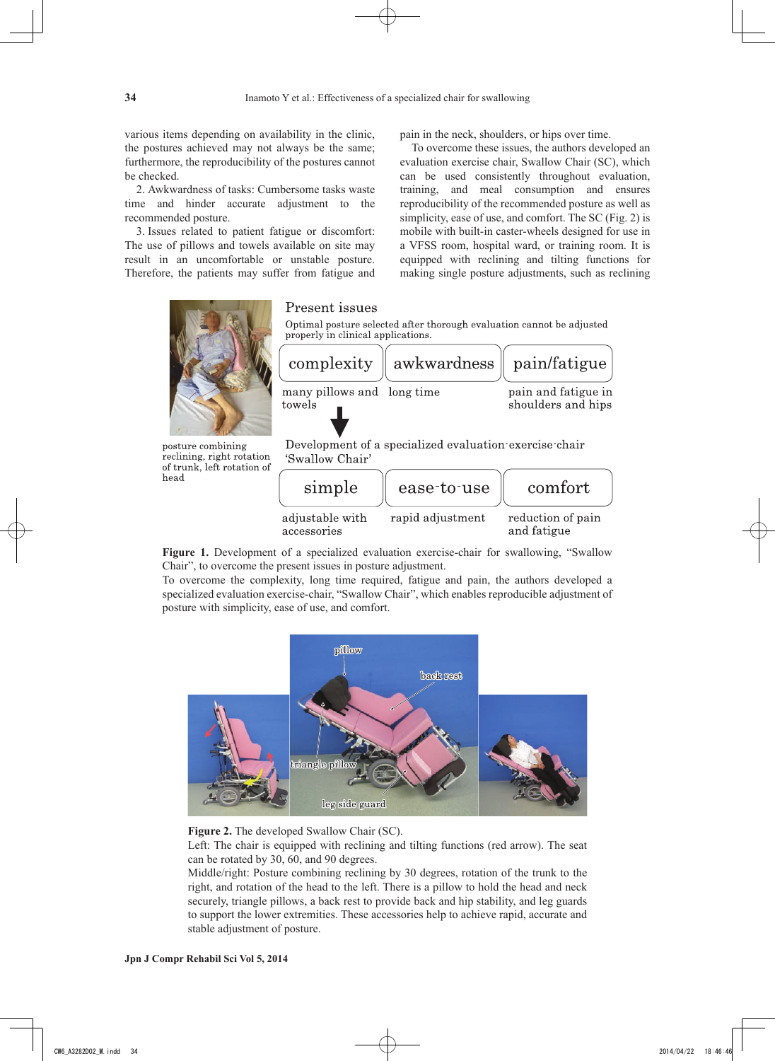various items depending on availability in the clinic, the postures achieved may not always be the same; furthermore, the reproducibility of the postures cannot be checked.

2. Awkwardness of tasks: Cumbersome tasks waste time and hinder accurate adjustment to the recommended posture.

3. Issues related to patient fatigue or discomfort: The use of pillows and towels available on site may result in an uncomfortable or unstable posture. Therefore, the patients may suffer from fatigue and pain in the neck, shoulders, or hips over time.

To overcome these issues, the authors developed an evaluation exercise chair, Swallow Chair (SC), which can be used consistently throughout evaluation, training, and meal consumption and ensures reproducibility of the recommended posture as well as simplicity, ease of use, and comfort. The SC (Fig. 2) is mobile with built-in caster-wheels designed for use in a VFSS room, hospital ward, or training room. It is equipped with reclining and tilting functions for making single posture adjustments, such as reclining



of trunk, left rotation of head

| simple                         | ease-to-use      | comfort                          |  |
|--------------------------------|------------------|----------------------------------|--|
| adjustable with<br>accessories | rapid adjustment | reduction of pain<br>and fatigue |  |

**Figure 1.** Development of a specialized evaluation exercise-chair for swallowing, "Swallow Chair", to overcome the present issues in posture adjustment.

To overcome the complexity, long time required, fatigue and pain, the authors developed a specialized evaluation exercise-chair, "Swallow Chair", which enables reproducible adjustment of posture with simplicity, ease of use, and comfort.



**Figure 2.** The developed Swallow Chair (SC).

Left: The chair is equipped with reclining and tilting functions (red arrow). The seat can be rotated by 30, 60, and 90 degrees.

Middle/right: Posture combining reclining by 30 degrees, rotation of the trunk to the right, and rotation of the head to the left. There is a pillow to hold the head and neck securely, triangle pillows, a back rest to provide back and hip stability, and leg guards to support the lower extremities. These accessories help to achieve rapid, accurate and stable adjustment of posture.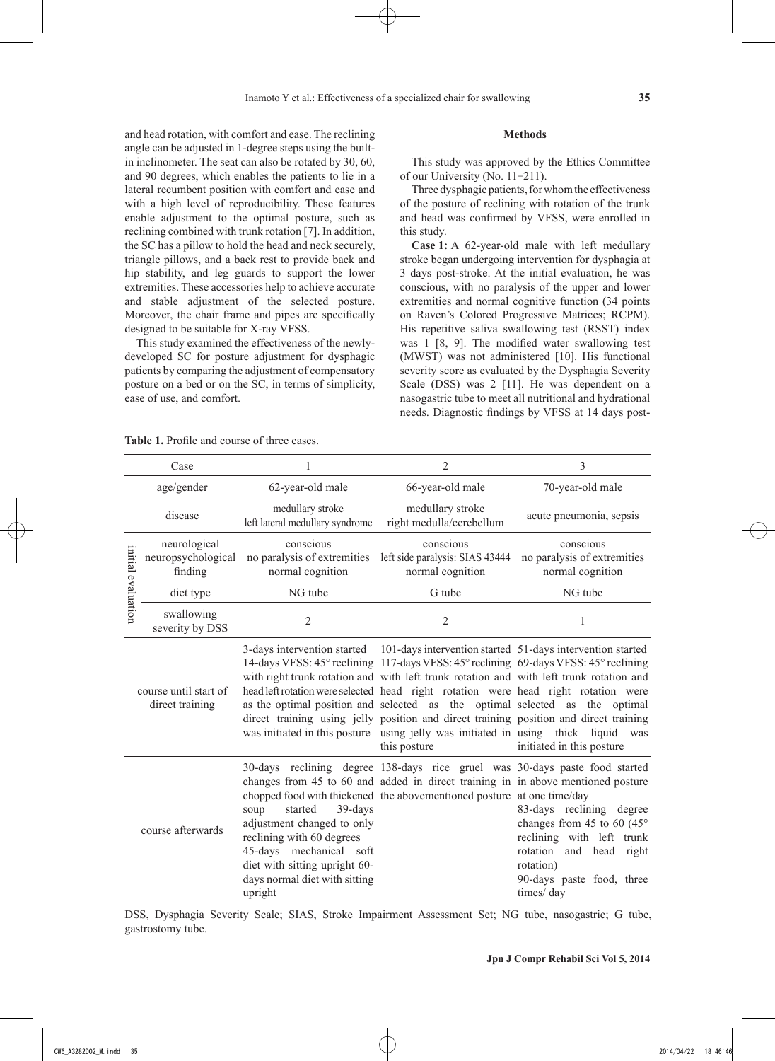and head rotation, with comfort and ease. The reclining angle can be adjusted in 1-degree steps using the builtin inclinometer. The seat can also be rotated by 30, 60, and 90 degrees, which enables the patients to lie in a lateral recumbent position with comfort and ease and with a high level of reproducibility. These features enable adjustment to the optimal posture, such as reclining combined with trunk rotation [7]. In addition, the SC has a pillow to hold the head and neck securely, triangle pillows, and a back rest to provide back and hip stability, and leg guards to support the lower extremities. These accessories help to achieve accurate and stable adjustment of the selected posture. Moreover, the chair frame and pipes are specifically designed to be suitable for X-ray VFSS.

This study examined the effectiveness of the newlydeveloped SC for posture adjustment for dysphagic patients by comparing the adjustment of compensatory posture on a bed or on the SC, in terms of simplicity, ease of use, and comfort.

#### **Methods**

This study was approved by the Ethics Committee of our University (No. 11-211).

Three dysphagic patients, for whom the effectiveness of the posture of reclining with rotation of the trunk and head was confirmed by VFSS, were enrolled in this study.

**Case 1:** A 62-year-old male with left medullary stroke began undergoing intervention for dysphagia at 3 days post-stroke. At the initial evaluation, he was conscious, with no paralysis of the upper and lower extremities and normal cognitive function (34 points on Raven's Colored Progressive Matrices; RCPM). His repetitive saliva swallowing test (RSST) index was 1 [8, 9]. The modified water swallowing test (MWST) was not administered [10]. His functional severity score as evaluated by the Dysphagia Severity Scale (DSS) was 2 [11]. He was dependent on a nasogastric tube to meet all nutritional and hydrational needs. Diagnostic findings by VFSS at 14 days post-

| <b>Table 1.</b> Profile and course of three cases. |
|----------------------------------------------------|
|----------------------------------------------------|

| Case                                                          |                                               |                                                                                                                                                                                                  | $\overline{2}$                                                                                                                                                                                                                                                                                                                                                                                                                                                                                                                                                                                                                           | 3                                                                                                                                                                                        |
|---------------------------------------------------------------|-----------------------------------------------|--------------------------------------------------------------------------------------------------------------------------------------------------------------------------------------------------|------------------------------------------------------------------------------------------------------------------------------------------------------------------------------------------------------------------------------------------------------------------------------------------------------------------------------------------------------------------------------------------------------------------------------------------------------------------------------------------------------------------------------------------------------------------------------------------------------------------------------------------|------------------------------------------------------------------------------------------------------------------------------------------------------------------------------------------|
|                                                               | age/gender                                    | 62-year-old male                                                                                                                                                                                 | 66-year-old male                                                                                                                                                                                                                                                                                                                                                                                                                                                                                                                                                                                                                         | 70-year-old male                                                                                                                                                                         |
|                                                               | disease                                       | medullary stroke<br>left lateral medullary syndrome                                                                                                                                              | medullary stroke<br>right medulla/cerebellum                                                                                                                                                                                                                                                                                                                                                                                                                                                                                                                                                                                             | acute pneumonia, sepsis                                                                                                                                                                  |
| initial evaluation                                            | neurological<br>neuropsychological<br>finding | conscious<br>no paralysis of extremities<br>normal cognition                                                                                                                                     | conscious<br>left side paralysis: SIAS 43444<br>normal cognition                                                                                                                                                                                                                                                                                                                                                                                                                                                                                                                                                                         | conscious<br>no paralysis of extremities<br>normal cognition                                                                                                                             |
|                                                               | diet type                                     | NG tube                                                                                                                                                                                          | G tube                                                                                                                                                                                                                                                                                                                                                                                                                                                                                                                                                                                                                                   | NG tube                                                                                                                                                                                  |
|                                                               | swallowing<br>severity by DSS                 | $\overline{2}$                                                                                                                                                                                   | $\overline{2}$                                                                                                                                                                                                                                                                                                                                                                                                                                                                                                                                                                                                                           | 1                                                                                                                                                                                        |
| course until start of<br>direct training<br>course afterwards |                                               |                                                                                                                                                                                                  | 3-days intervention started 101-days intervention started 51-days intervention started<br>14-days VFSS: 45° reclining 117-days VFSS: 45° reclining 69-days VFSS: 45° reclining<br>with right trunk rotation and with left trunk rotation and with left trunk rotation and<br>head left rotation were selected head right rotation were head right rotation were<br>as the optimal position and selected as the optimal selected as the optimal<br>direct training using jelly position and direct training position and direct training<br>was initiated in this posture using jelly was initiated in using thick liquid<br>this posture | was<br>initiated in this posture                                                                                                                                                         |
|                                                               |                                               | started<br>39-days<br>soup<br>adjustment changed to only<br>reclining with 60 degrees<br>mechanical soft<br>45-days<br>diet with sitting upright 60-<br>days normal diet with sitting<br>upright | 30-days reclining degree 138-days rice gruel was 30-days paste food started<br>changes from 45 to 60 and added in direct training in in above mentioned posture<br>chopped food with thickened the abovementioned posture at one time/day                                                                                                                                                                                                                                                                                                                                                                                                | 83-days reclining degree<br>changes from 45 to 60 (45 $^{\circ}$<br>reclining with left trunk<br>rotation<br>head<br>and<br>right<br>rotation)<br>90-days paste food, three<br>times/day |

DSS, Dysphagia Severity Scale; SIAS, Stroke Impairment Assessment Set; NG tube, nasogastric; G tube, gastrostomy tube.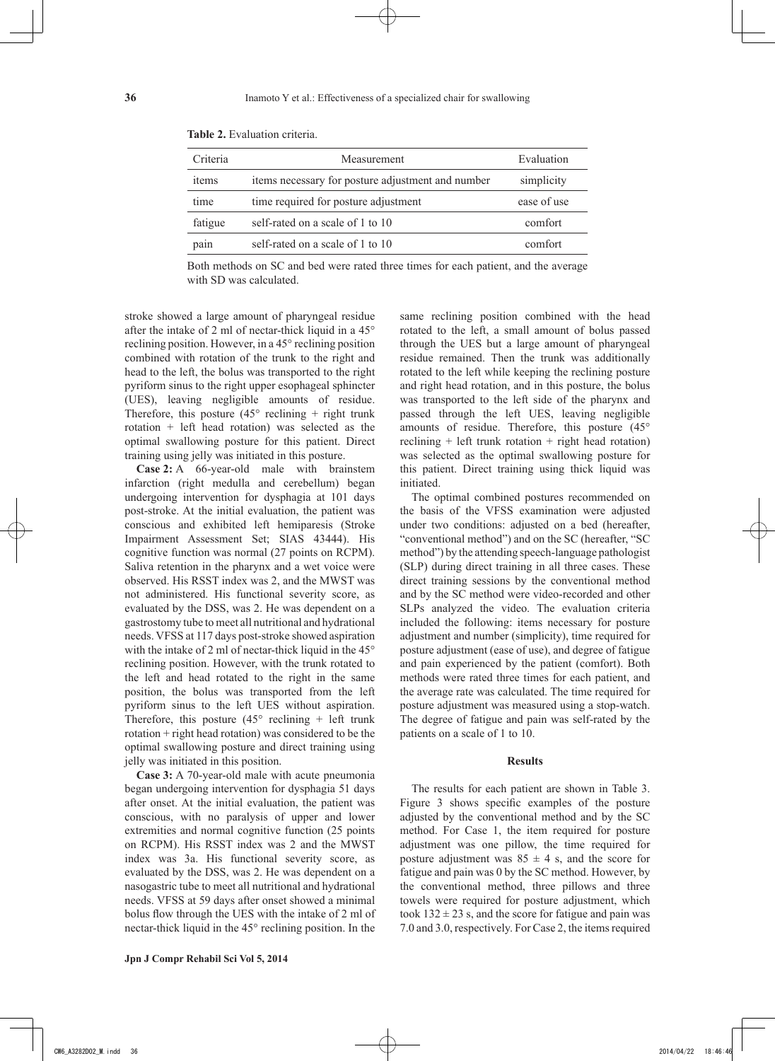| Criteria | Measurement                                       | Evaluation  |
|----------|---------------------------------------------------|-------------|
| items    | items necessary for posture adjustment and number | simplicity  |
| time     | time required for posture adjustment              | ease of use |
| fatigue  | self-rated on a scale of 1 to 10                  | comfort     |
| pain     | self-rated on a scale of 1 to 10                  | comfort     |

**Table 2.** Evaluation criteria.

Both methods on SC and bed were rated three times for each patient, and the average with SD was calculated.

stroke showed a large amount of pharyngeal residue after the intake of 2 ml of nectar-thick liquid in a 45° reclining position. However, in a 45° reclining position combined with rotation of the trunk to the right and head to the left, the bolus was transported to the right pyriform sinus to the right upper esophageal sphincter (UES), leaving negligible amounts of residue. Therefore, this posture  $(45^{\circ}$  reclining + right trunk rotation + left head rotation) was selected as the optimal swallowing posture for this patient. Direct training using jelly was initiated in this posture.

**Case 2:** A 66-year-old male with brainstem infarction (right medulla and cerebellum) began undergoing intervention for dysphagia at 101 days post-stroke. At the initial evaluation, the patient was conscious and exhibited left hemiparesis (Stroke Impairment Assessment Set; SIAS 43444). His cognitive function was normal (27 points on RCPM). Saliva retention in the pharynx and a wet voice were observed. His RSST index was 2, and the MWST was not administered. His functional severity score, as evaluated by the DSS, was 2. He was dependent on a gastrostomy tube to meet all nutritional and hydrational needs. VFSS at 117 days post-stroke showed aspiration with the intake of 2 ml of nectar-thick liquid in the  $45^{\circ}$ reclining position. However, with the trunk rotated to the left and head rotated to the right in the same position, the bolus was transported from the left pyriform sinus to the left UES without aspiration. Therefore, this posture  $(45^{\circ}$  reclining + left trunk rotation + right head rotation) was considered to be the optimal swallowing posture and direct training using jelly was initiated in this position.

**Case 3:** A 70-year-old male with acute pneumonia began undergoing intervention for dysphagia 51 days after onset. At the initial evaluation, the patient was conscious, with no paralysis of upper and lower extremities and normal cognitive function (25 points on RCPM). His RSST index was 2 and the MWST index was 3a. His functional severity score, as evaluated by the DSS, was 2. He was dependent on a nasogastric tube to meet all nutritional and hydrational needs. VFSS at 59 days after onset showed a minimal bolus flow through the UES with the intake of 2 ml of nectar-thick liquid in the 45° reclining position. In the same reclining position combined with the head rotated to the left, a small amount of bolus passed through the UES but a large amount of pharyngeal residue remained. Then the trunk was additionally rotated to the left while keeping the reclining posture and right head rotation, and in this posture, the bolus was transported to the left side of the pharynx and passed through the left UES, leaving negligible amounts of residue. Therefore, this posture (45° reclining  $+$  left trunk rotation  $+$  right head rotation) was selected as the optimal swallowing posture for this patient. Direct training using thick liquid was initiated.

The optimal combined postures recommended on the basis of the VFSS examination were adjusted under two conditions: adjusted on a bed (hereafter, "conventional method") and on the SC (hereafter, "SC method") by the attending speech-language pathologist (SLP) during direct training in all three cases. These direct training sessions by the conventional method and by the SC method were video-recorded and other SLPs analyzed the video. The evaluation criteria included the following: items necessary for posture adjustment and number (simplicity), time required for posture adjustment (ease of use), and degree of fatigue and pain experienced by the patient (comfort). Both methods were rated three times for each patient, and the average rate was calculated. The time required for posture adjustment was measured using a stop-watch. The degree of fatigue and pain was self-rated by the patients on a scale of 1 to 10.

#### **Results**

The results for each patient are shown in Table 3. Figure 3 shows specific examples of the posture adjusted by the conventional method and by the SC method. For Case 1, the item required for posture adjustment was one pillow, the time required for posture adjustment was  $85 \pm 4$  s, and the score for fatigue and pain was 0 by the SC method. However, by the conventional method, three pillows and three towels were required for posture adjustment, which took  $132 \pm 23$  s, and the score for fatigue and pain was 7.0 and 3.0, respectively. For Case 2, the items required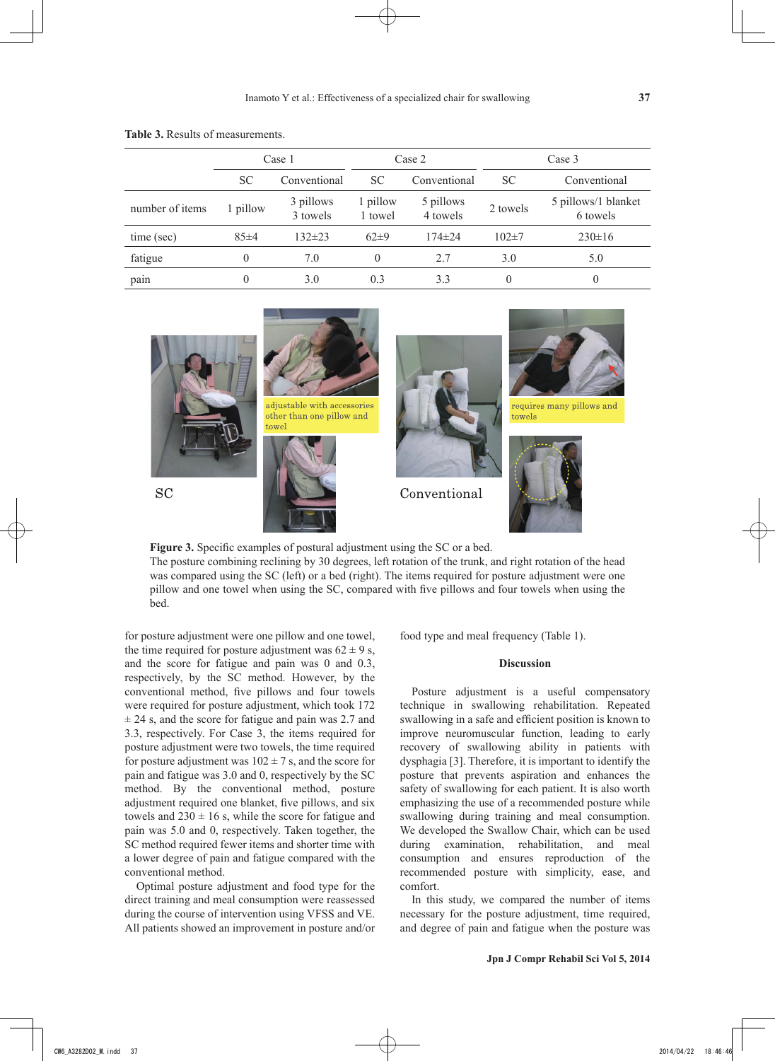|                 | Case 1    |                       | Case 2              |                       | Case 3           |                                 |
|-----------------|-----------|-----------------------|---------------------|-----------------------|------------------|---------------------------------|
|                 | <b>SC</b> | Conventional          | <b>SC</b>           | Conventional          | <b>SC</b>        | Conventional                    |
| number of items | 1 pillow  | 3 pillows<br>3 towels | 1 pillow<br>1 towel | 5 pillows<br>4 towels | 2 towels         | 5 pillows/1 blanket<br>6 towels |
| time (sec)      | 85±4      | $132 \pm 23$          | $62\pm9$            | $174 \pm 24$          | $102 \pm 7$      | $230 \pm 16$                    |
| fatigue         |           | 7.0                   | $\theta$            | 2.7                   | 3.0              | 5.0                             |
| pain            |           | 3.0                   | 0.3                 | 3.3                   | $\boldsymbol{0}$ | $\theta$                        |

**Table 3.** Results of measurements.



**Figure 3.** Specific examples of postural adjustment using the SC or a bed. The posture combining reclining by 30 degrees, left rotation of the trunk, and right rotation of the head was compared using the SC (left) or a bed (right). The items required for posture adjustment were one pillow and one towel when using the SC, compared with five pillows and four towels when using the bed.

for posture adjustment were one pillow and one towel, the time required for posture adjustment was  $62 \pm 9$  s, and the score for fatigue and pain was 0 and 0.3, respectively, by the SC method. However, by the conventional method, five pillows and four towels were required for posture adjustment, which took 172  $\pm$  24 s, and the score for fatigue and pain was 2.7 and 3.3, respectively. For Case 3, the items required for posture adjustment were two towels, the time required for posture adjustment was  $102 \pm 7$  s, and the score for pain and fatigue was 3.0 and 0, respectively by the SC method. By the conventional method, posture adjustment required one blanket, five pillows, and six towels and  $230 \pm 16$  s, while the score for fatigue and pain was 5.0 and 0, respectively. Taken together, the SC method required fewer items and shorter time with a lower degree of pain and fatigue compared with the conventional method.

Optimal posture adjustment and food type for the direct training and meal consumption were reassessed during the course of intervention using VFSS and VE. All patients showed an improvement in posture and/or food type and meal frequency (Table 1).

#### **Discussion**

Posture adjustment is a useful compensatory technique in swallowing rehabilitation. Repeated swallowing in a safe and efficient position is known to improve neuromuscular function, leading to early recovery of swallowing ability in patients with dysphagia [3]. Therefore, it is important to identify the posture that prevents aspiration and enhances the safety of swallowing for each patient. It is also worth emphasizing the use of a recommended posture while swallowing during training and meal consumption. We developed the Swallow Chair, which can be used during examination, rehabilitation, and meal consumption and ensures reproduction of the recommended posture with simplicity, ease, and comfort.

In this study, we compared the number of items necessary for the posture adjustment, time required, and degree of pain and fatigue when the posture was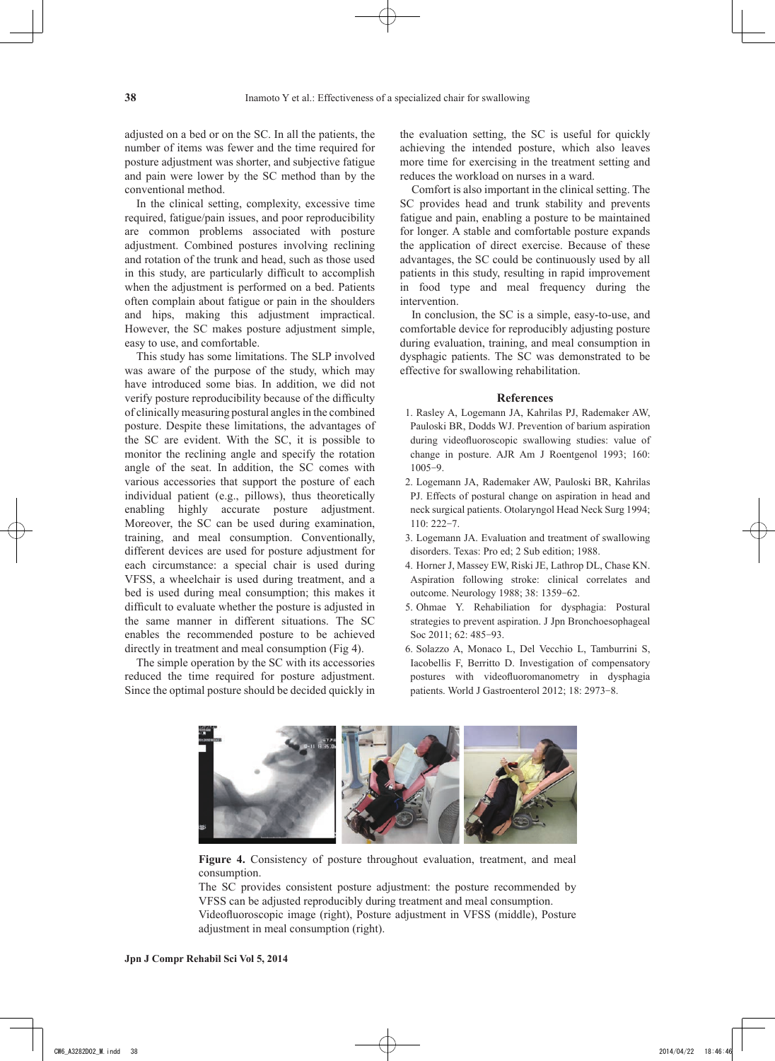adjusted on a bed or on the SC. In all the patients, the number of items was fewer and the time required for posture adjustment was shorter, and subjective fatigue and pain were lower by the SC method than by the conventional method.

In the clinical setting, complexity, excessive time required, fatigue/pain issues, and poor reproducibility are common problems associated with posture adjustment. Combined postures involving reclining and rotation of the trunk and head, such as those used in this study, are particularly difficult to accomplish when the adjustment is performed on a bed. Patients often complain about fatigue or pain in the shoulders and hips, making this adjustment impractical. However, the SC makes posture adjustment simple, easy to use, and comfortable.

This study has some limitations. The SLP involved was aware of the purpose of the study, which may have introduced some bias. In addition, we did not verify posture reproducibility because of the difficulty of clinically measuring postural angles in the combined posture. Despite these limitations, the advantages of the SC are evident. With the SC, it is possible to monitor the reclining angle and specify the rotation angle of the seat. In addition, the SC comes with various accessories that support the posture of each individual patient (e.g., pillows), thus theoretically enabling highly accurate posture adjustment. Moreover, the SC can be used during examination, training, and meal consumption. Conventionally, different devices are used for posture adjustment for each circumstance: a special chair is used during VFSS, a wheelchair is used during treatment, and a bed is used during meal consumption; this makes it difficult to evaluate whether the posture is adjusted in the same manner in different situations. The SC enables the recommended posture to be achieved directly in treatment and meal consumption (Fig 4).

The simple operation by the SC with its accessories reduced the time required for posture adjustment. Since the optimal posture should be decided quickly in the evaluation setting, the SC is useful for quickly achieving the intended posture, which also leaves more time for exercising in the treatment setting and reduces the workload on nurses in a ward.

Comfort is also important in the clinical setting. The SC provides head and trunk stability and prevents fatigue and pain, enabling a posture to be maintained for longer. A stable and comfortable posture expands the application of direct exercise. Because of these advantages, the SC could be continuously used by all patients in this study, resulting in rapid improvement in food type and meal frequency during the intervention.

In conclusion, the SC is a simple, easy-to-use, and comfortable device for reproducibly adjusting posture during evaluation, training, and meal consumption in dysphagic patients. The SC was demonstrated to be effective for swallowing rehabilitation.

#### **References**

- 1. Rasley A, Logemann JA, Kahrilas PJ, Rademaker AW, Pauloski BR, Dodds WJ. Prevention of barium aspiration during videofluoroscopic swallowing studies: value of change in posture. AJR Am J Roentgenol 1993; 160: 1005-9.
- 2. Logemann JA, Rademaker AW, Pauloski BR, Kahrilas PJ. Effects of postural change on aspiration in head and neck surgical patients. Otolaryngol Head Neck Surg 1994; 110: 222-7.
- 3. Logemann JA. Evaluation and treatment of swallowing disorders. Texas: Pro ed; 2 Sub edition; 1988.
- 4. Horner J, Massey EW, Riski JE, Lathrop DL, Chase KN. Aspiration following stroke: clinical correlates and outcome. Neurology 1988; 38: 1359-62.
- 5. Ohmae Y. Rehabiliation for dysphagia: Postural strategies to prevent aspiration. J Jpn Bronchoesophageal Soc 2011; 62: 485-93.
- 6. Solazzo A, Monaco L, Del Vecchio L, Tamburrini S, Iacobellis F, Berritto D. Investigation of compensatory postures with videofluoromanometry in dysphagia patients. World J Gastroenterol 2012; 18: 2973-8.



**Figure 4.** Consistency of posture throughout evaluation, treatment, and meal consumption.

The SC provides consistent posture adjustment: the posture recommended by VFSS can be adjusted reproducibly during treatment and meal consumption.

Videofluoroscopic image (right), Posture adjustment in VFSS (middle), Posture adjustment in meal consumption (right).